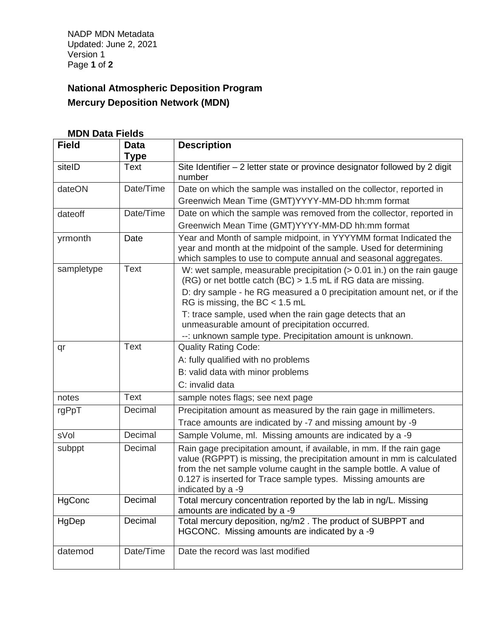NADP MDN Metadata Updated: June 2, 2021 Version 1 Page **1** of **2**

## **National Atmospheric Deposition Program Mercury Deposition Network (MDN)**

| <b>MDN Data Fields</b> |                                            |                                                                                                                                                 |  |
|------------------------|--------------------------------------------|-------------------------------------------------------------------------------------------------------------------------------------------------|--|
| <b>Field</b>           | <b>Data</b>                                | <b>Description</b>                                                                                                                              |  |
|                        | <b>Type</b>                                |                                                                                                                                                 |  |
| siteID                 | <b>Text</b>                                | Site Identifier - 2 letter state or province designator followed by 2 digit<br>number                                                           |  |
| dateON                 | Date/Time                                  | Date on which the sample was installed on the collector, reported in                                                                            |  |
|                        |                                            | Greenwich Mean Time (GMT)YYYY-MM-DD hh:mm format                                                                                                |  |
| dateoff                | Date/Time                                  | Date on which the sample was removed from the collector, reported in                                                                            |  |
|                        |                                            | Greenwich Mean Time (GMT)YYYY-MM-DD hh:mm format                                                                                                |  |
| yrmonth                | Date                                       | Year and Month of sample midpoint, in YYYYMM format Indicated the                                                                               |  |
|                        |                                            | year and month at the midpoint of the sample. Used for determining                                                                              |  |
|                        |                                            | which samples to use to compute annual and seasonal aggregates.                                                                                 |  |
| sampletype             | <b>Text</b>                                | W: wet sample, measurable precipitation $(> 0.01$ in.) on the rain gauge<br>(RG) or net bottle catch (BC) > 1.5 mL if RG data are missing.      |  |
|                        |                                            | D: dry sample - he RG measured a 0 precipitation amount net, or if the                                                                          |  |
|                        |                                            | RG is missing, the BC $<$ 1.5 mL                                                                                                                |  |
|                        |                                            | T: trace sample, used when the rain gage detects that an                                                                                        |  |
|                        |                                            | unmeasurable amount of precipitation occurred.                                                                                                  |  |
|                        |                                            | --: unknown sample type. Precipitation amount is unknown.                                                                                       |  |
| qr                     | <b>Text</b><br><b>Quality Rating Code:</b> |                                                                                                                                                 |  |
|                        |                                            | A: fully qualified with no problems                                                                                                             |  |
|                        |                                            | B: valid data with minor problems                                                                                                               |  |
|                        |                                            | C: invalid data                                                                                                                                 |  |
| notes                  | <b>Text</b>                                | sample notes flags; see next page                                                                                                               |  |
| rgPpT                  | Decimal                                    | Precipitation amount as measured by the rain gage in millimeters.                                                                               |  |
|                        |                                            | Trace amounts are indicated by -7 and missing amount by -9                                                                                      |  |
| sVol                   | Decimal                                    | Sample Volume, ml. Missing amounts are indicated by a -9                                                                                        |  |
| subppt                 | Decimal                                    | Rain gage precipitation amount, if available, in mm. If the rain gage<br>value (RGPPT) is missing, the precipitation amount in mm is calculated |  |
|                        |                                            | from the net sample volume caught in the sample bottle. A value of                                                                              |  |
|                        |                                            | 0.127 is inserted for Trace sample types. Missing amounts are                                                                                   |  |
| HgConc                 | Decimal                                    | indicated by a -9<br>Total mercury concentration reported by the lab in ng/L. Missing                                                           |  |
|                        |                                            | amounts are indicated by a -9                                                                                                                   |  |
| HgDep                  | Decimal                                    | Total mercury deposition, ng/m2. The product of SUBPPT and<br>HGCONC. Missing amounts are indicated by a -9                                     |  |
|                        |                                            |                                                                                                                                                 |  |
| datemod                | Date/Time                                  | Date the record was last modified                                                                                                               |  |
|                        |                                            |                                                                                                                                                 |  |